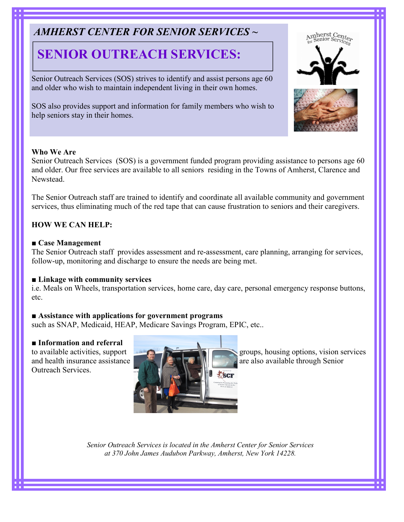## AMHERST CENTER FOR SENIOR SERVICES ~

# SENIOR OUTREACH SERVICES:

Senior Outreach Services (SOS) strives to identify and assist persons age 60 and older who wish to maintain independent living in their own homes.

SOS also provides support and information for family members who wish to help seniors stay in their homes.

#### Who We Are

Senior Outreach Services (SOS) is a government funded program providing assistance to persons age 60 and older. Our free services are available to all seniors residing in the Towns of Amherst, Clarence and Newstead.

The Senior Outreach staff are trained to identify and coordinate all available community and government services, thus eliminating much of the red tape that can cause frustration to seniors and their caregivers.

#### HOW WE CAN HELP:

#### ■ Case Management

The Senior Outreach staff provides assessment and re-assessment, care planning, arranging for services, follow-up, monitoring and discharge to ensure the needs are being met.

#### ■ Linkage with community services

i.e. Meals on Wheels, transportation services, home care, day care, personal emergency response buttons, etc.

#### ■ Assistance with applications for government programs

such as SNAP, Medicaid, HEAP, Medicare Savings Program, EPIC, etc..

#### ■ Information and referral

Outreach Services.



to available activities, support groups, housing options, vision services

Senior Outreach Services is located in the Amherst Center for Senior Services at 370 John James Audubon Parkway, Amherst, New York 14228.